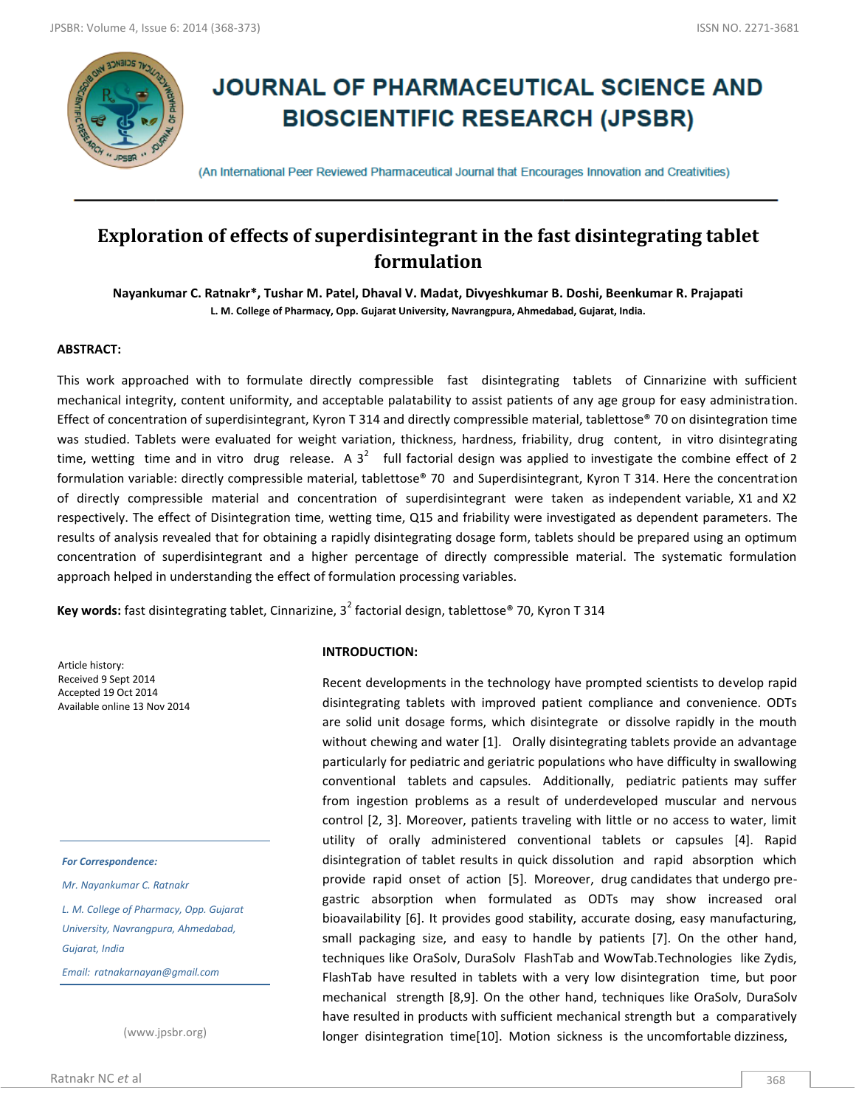

# **JOURNAL OF PHARMACEUTICAL SCIENCE AND BIOSCIENTIFIC RESEARCH (JPSBR)**

(An International Peer Reviewed Pharmaceutical Journal that Encourages Innovation and Creativities)

# **Exploration of effects of superdisintegrant in the fast disintegrating tablet formulation**

**Nayankumar C. Ratnakr\*, Tushar M. Patel, Dhaval V. Madat, Divyeshkumar B. Doshi, Beenkumar R. Prajapati L. M. College of Pharmacy, Opp. Gujarat University, Navrangpura, Ahmedabad, Gujarat, India.**

## **ABSTRACT:**

This work approached with to formulate directly compressible fast disintegrating tablets of Cinnarizine with sufficient mechanical integrity, content uniformity, and acceptable palatability to assist patients of any age group for easy administration. Effect of concentration of superdisintegrant, Kyron T 314 and directly compressible material, tablettose® 70 on disintegration time was studied. Tablets were evaluated for weight variation, thickness, hardness, friability, drug content, in vitro disintegrating time, wetting time and in vitro drug release. A  $3^2$  full factorial design was applied to investigate the combine effect of 2 formulation variable: directly compressible material, tablettose® 70 and Superdisintegrant, Kyron T 314. Here the concentration of directly compressible material and concentration of superdisintegrant were taken as independent variable, X1 and X2 respectively. The effect of Disintegration time, wetting time, Q15 and friability were investigated as dependent parameters. The results of analysis revealed that for obtaining a rapidly disintegrating dosage form, tablets should be prepared using an optimum concentration of superdisintegrant and a higher percentage of directly compressible material. The systematic formulation approach helped in understanding the effect of formulation processing variables.

Key words: fast disintegrating tablet, Cinnarizine, 3<sup>2</sup> factorial design, tablettose® 70, Kyron T 314

Article history: Received 9 Sept 2014 Accepted 19 Oct 2014 Available online 13 Nov 2014

#### *For Correspondence:*

*Mr. Nayankumar C. Ratnakr*

*L. M. College of Pharmacy, Opp. Gujarat University, Navrangpura, Ahmedabad, Gujarat, India* 

*Email: ratnakarnayan@gmail.com*

(www.jpsbr.org)

#### **INTRODUCTION:**

Recent developments in the technology have prompted scientists to develop rapid disintegrating tablets with improved patient compliance and convenience. ODTs are solid unit dosage forms, which disintegrate or dissolve rapidly in the mouth without chewing and water [1]. Orally disintegrating tablets provide an advantage particularly for pediatric and geriatric populations who have difficulty in swallowing conventional tablets and capsules. Additionally, pediatric patients may suffer from ingestion problems as a result of underdeveloped muscular and nervous control [2, 3]. Moreover, patients traveling with little or no access to water, limit utility of orally administered conventional tablets or capsules [4]. Rapid disintegration of tablet results in quick dissolution and rapid absorption which provide rapid onset of action [5]. Moreover, drug candidates that undergo pregastric absorption when formulated as ODTs may show increased oral bioavailability [6]. It provides good stability, accurate dosing, easy manufacturing, small packaging size, and easy to handle by patients [7]. On the other hand, techniques like OraSolv, DuraSolv FlashTab and WowTab.Technologies like Zydis, FlashTab have resulted in tablets with a very low disintegration time, but poor mechanical strength [8,9]. On the other hand, techniques like OraSolv, DuraSolv have resulted in products with sufficient mechanical strength but a comparatively longer disintegration time[10]. Motion sickness is the uncomfortable dizziness,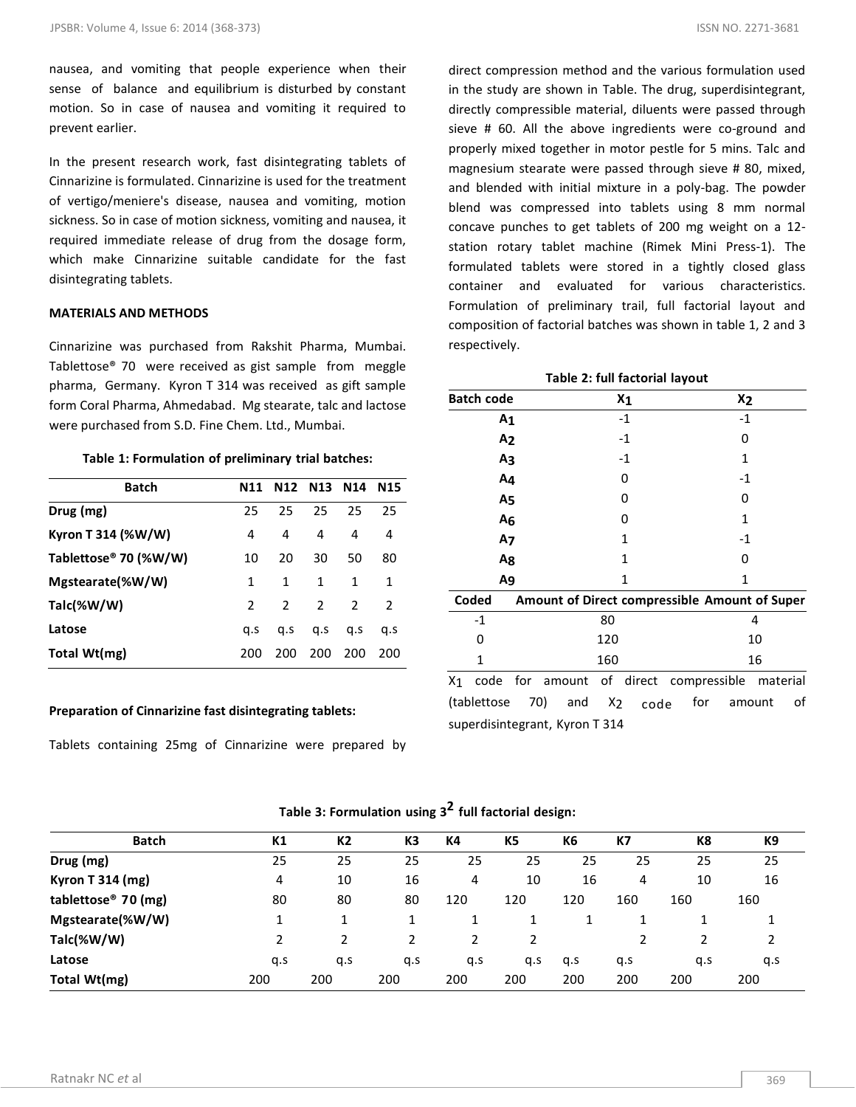nausea, and vomiting that people experience when their sense of balance and equilibrium is disturbed by constant motion. So in case of nausea and vomiting it required to prevent earlier.

In the present research work, fast disintegrating tablets of Cinnarizine is formulated. Cinnarizine is used for the treatment of vertigo/meniere's disease, nausea and vomiting, motion sickness. So in case of motion sickness, vomiting and nausea, it required immediate release of drug from the dosage form, which make Cinnarizine suitable candidate for the fast disintegrating tablets.

#### **MATERIALS AND METHODS**

Cinnarizine was purchased from Rakshit Pharma, Mumbai. Tablettose® 70 were received as gist sample from meggle pharma, Germany. Kyron T 314 was received as gift sample form Coral Pharma, Ahmedabad. Mg stearate, talc and lactose were purchased from S.D. Fine Chem. Ltd., Mumbai.

#### **Table 1: Formulation of preliminary trial batches:**

| <b>Batch</b>                      | N11           |               | N12 N13 N14    |               | <b>N15</b>    |
|-----------------------------------|---------------|---------------|----------------|---------------|---------------|
| Drug (mg)                         | 25            | 25            | 25             | 25            | 25            |
| Kyron T 314 (%W/W)                | 4             | 4             | 4              | 4             | 4             |
| Tablettose <sup>®</sup> 70 (%W/W) | 10            | 20            | 30             | 50            | 80            |
| Mgstearate(%W/W)                  | 1             | 1             | 1              | 1             | 1             |
| Talc(%W/W)                        | $\mathcal{L}$ | $\mathcal{L}$ | $\overline{2}$ | $\mathcal{P}$ | $\mathcal{P}$ |
| Latose                            | a.s           | a.s           | q.s            | q.s           | a.s           |
| Total Wt(mg)                      | 200           | 200           | 200            | 200           | 200           |

#### **Preparation of Cinnarizine fast disintegrating tablets:**

Tablets containing 25mg of Cinnarizine were prepared by

direct compression method and the various formulation used in the study are shown in Table. The drug, superdisintegrant, directly compressible material, diluents were passed through sieve # 60. All the above ingredients were co-ground and properly mixed together in motor pestle for 5 mins. Talc and magnesium stearate were passed through sieve # 80, mixed, and blended with initial mixture in a poly-bag. The powder blend was compressed into tablets using 8 mm normal concave punches to get tablets of 200 mg weight on a 12 station rotary tablet machine (Rimek Mini Press-1). The formulated tablets were stored in a tightly closed glass container and evaluated for various characteristics. Formulation of preliminary trail, full factorial layout and composition of factorial batches was shown in table 1, 2 and 3 respectively.

**Table 2: full factorial layout**

| <b>Batch code</b>              |     |                                               |       | $x_1$        |              | X <sub>2</sub> |          |    |
|--------------------------------|-----|-----------------------------------------------|-------|--------------|--------------|----------------|----------|----|
| Α1                             |     |                                               |       | $-1$         |              | $-1$           |          |    |
| A <sub>2</sub>                 |     |                                               |       | $-1$         |              | 0              |          |    |
| A3                             |     |                                               |       | $-1$         |              | 1              |          |    |
| A4                             |     |                                               |       | 0            |              | $-1$           |          |    |
| A5                             |     |                                               |       | 0            |              | 0              |          |    |
| A <sub>6</sub>                 |     |                                               |       | 0            |              | 1              |          |    |
| A7                             |     |                                               |       | 1            |              | $-1$           |          |    |
| A8                             |     |                                               |       | $\mathbf{1}$ |              | 0              |          |    |
| A9                             |     |                                               |       | $\mathbf{1}$ |              | $\mathbf{1}$   |          |    |
| Coded                          |     | Amount of Direct compressible Amount of Super |       |              |              |                |          |    |
| $-1$                           |     |                                               | 80    |              |              |                | 4        |    |
| 0                              |     |                                               | 120   |              |              |                | 10       |    |
| 1                              |     |                                               | 160   |              |              |                | 16       |    |
| code<br>X1                     |     | for amount of direct                          |       |              | compressible |                | material |    |
| (tablettose                    | 70) | and                                           | $X_2$ | code         | for          | amount         |          | οf |
| superdisintegrant, Kyron T 314 |     |                                               |       |              |              |                |          |    |

| Table 3: Formulation using $32$ full factorial design: |  |  |  |  |  |
|--------------------------------------------------------|--|--|--|--|--|
|--------------------------------------------------------|--|--|--|--|--|

| <b>Batch</b>                    | K1  | K2  | K3  | <b>K4</b> | K <sub>5</sub> | K6  | К7  | K8  | К9  |
|---------------------------------|-----|-----|-----|-----------|----------------|-----|-----|-----|-----|
| Drug (mg)                       | 25  | 25  | 25  | 25        | 25             | 25  | 25  | 25  | 25  |
| <b>Kyron T 314 (mg)</b>         | 4   | 10  | 16  | 4         | 10             | 16  | 4   | 10  | 16  |
| tablettose <sup>®</sup> 70 (mg) | 80  | 80  | 80  | 120       | 120            | 120 | 160 | 160 | 160 |
| Mgstearate(%W/W)                |     |     |     |           |                |     |     |     |     |
| Talc(%W/W)                      |     |     |     | 2         |                |     |     |     |     |
| Latose                          | q.s | q.s | q.s | q.s       | q.s            | q.s | q.s | q.s | q.s |
| Total Wt(mg)                    | 200 | 200 | 200 | 200       | 200            | 200 | 200 | 200 | 200 |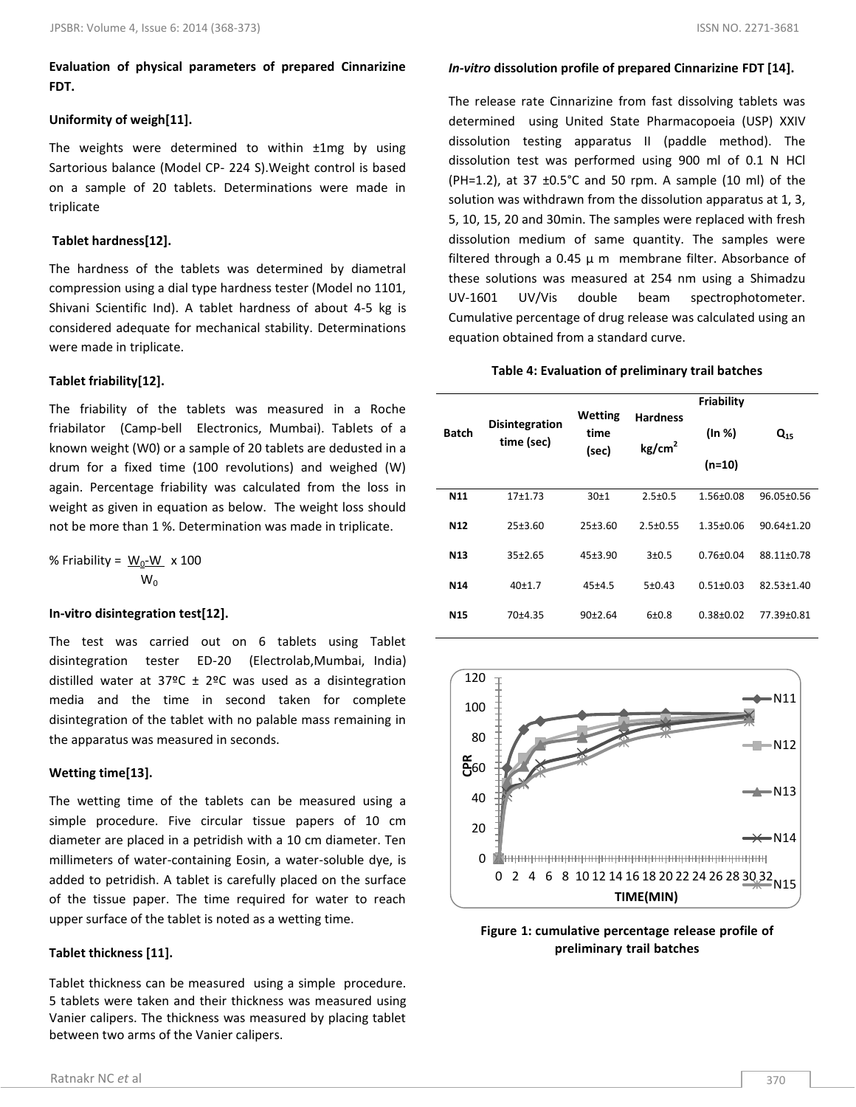**Evaluation of physical parameters of prepared Cinnarizine FDT.** 

## **Uniformity of weigh[11].**

The weights were determined to within  $\pm 1$ mg by using Sartorious balance (Model CP- 224 S).Weight control is based on a sample of 20 tablets. Determinations were made in triplicate

# **Tablet hardness[12].**

The hardness of the tablets was determined by diametral compression using a dial type hardness tester (Model no 1101, Shivani Scientific Ind). A tablet hardness of about 4-5 kg is considered adequate for mechanical stability. Determinations were made in triplicate.

# **Tablet friability[12].**

The friability of the tablets was measured in a Roche friabilator (Camp-bell Electronics, Mumbai). Tablets of a known weight (W0) or a sample of 20 tablets are dedusted in a drum for a fixed time (100 revolutions) and weighed (W) again. Percentage friability was calculated from the loss in weight as given in equation as below. The weight loss should not be more than 1 %. Determination was made in triplicate.

% Friability = 
$$
\frac{W_0-W}{W_0} \times 100
$$

## **In-vitro disintegration test[12].**

The test was carried out on 6 tablets using Tablet disintegration tester ED-20 (Electrolab,Mumbai, India) distilled water at 37°C  $\pm$  2°C was used as a disintegration media and the time in second taken for complete disintegration of the tablet with no palable mass remaining in the apparatus was measured in seconds.

## **Wetting time[13].**

The wetting time of the tablets can be measured using a simple procedure. Five circular tissue papers of 10 cm diameter are placed in a petridish with a 10 cm diameter. Ten millimeters of water-containing Eosin, a water-soluble dye, is added to petridish. A tablet is carefully placed on the surface of the tissue paper. The time required for water to reach upper surface of the tablet is noted as a wetting time.

## **Tablet thickness [11].**

Tablet thickness can be measured using a simple procedure. 5 tablets were taken and their thickness was measured using Vanier calipers. The thickness was measured by placing tablet between two arms of the Vanier calipers.

The release rate Cinnarizine from fast dissolving tablets was determined using United State Pharmacopoeia (USP) XXIV dissolution testing apparatus II (paddle method). The dissolution test was performed using 900 ml of 0.1 N HCl (PH=1.2), at 37  $\pm$ 0.5°C and 50 rpm. A sample (10 ml) of the solution was withdrawn from the dissolution apparatus at 1, 3, 5, 10, 15, 20 and 30min. The samples were replaced with fresh dissolution medium of same quantity. The samples were filtered through a 0.45  $\mu$  m membrane filter. Absorbance of these solutions was measured at 254 nm using a Shimadzu UV-1601 UV/Vis double beam spectrophotometer. Cumulative percentage of drug release was calculated using an equation obtained from a standard curve.

#### **Table 4: Evaluation of preliminary trail batches**

|                 |                                     | <b>Wetting</b><br><b>Hardness</b><br>time<br>kg/cm <sup>2</sup><br>(sec) |                | <b>Friability</b> | $Q_{15}$         |  |
|-----------------|-------------------------------------|--------------------------------------------------------------------------|----------------|-------------------|------------------|--|
| <b>Batch</b>    | <b>Disintegration</b><br>time (sec) |                                                                          |                | (ln %)            |                  |  |
|                 |                                     |                                                                          |                | $(n=10)$          |                  |  |
| N11             | $17+1.73$                           | 30±1                                                                     | $2.5 \pm 0.5$  | $1.56 \pm 0.08$   | 96.05±0.56       |  |
| N <sub>12</sub> | $25+3.60$                           | $25+3.60$                                                                | $2.5 \pm 0.55$ | $1.35 \pm 0.06$   | $90.64 \pm 1.20$ |  |
| N <sub>13</sub> | $35+2.65$                           | 45±3.90                                                                  | $3 + 0.5$      | $0.76 \pm 0.04$   | 88.11±0.78       |  |
| N <sub>14</sub> | $40+1.7$                            | $45 + 4.5$                                                               | 5±0.43         | $0.51 + 0.03$     | 82.53±1.40       |  |
| <b>N15</b>      | $70+4.35$                           | $90+2.64$                                                                | $6+0.8$        | $0.38 + 0.02$     | 77.39±0.81       |  |



**Figure 1: cumulative percentage release profile of preliminary trail batches**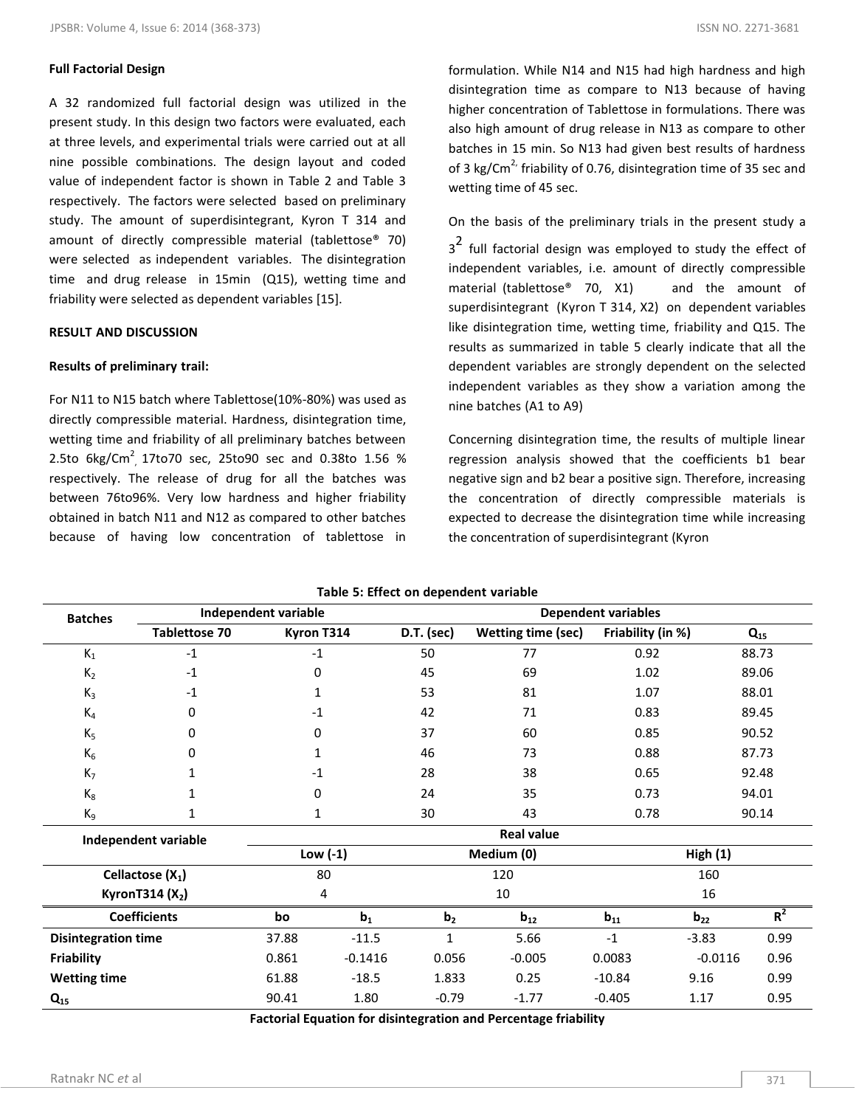# **Full Factorial Design**

A 32 randomized full factorial design was utilized in the present study. In this design two factors were evaluated, each at three levels, and experimental trials were carried out at all nine possible combinations. The design layout and coded value of independent factor is shown in Table 2 and Table 3 respectively. The factors were selected based on preliminary study. The amount of superdisintegrant, Kyron T 314 and amount of directly compressible material (tablettose® 70) were selected as independent variables. The disintegration time and drug release in 15min (Q15), wetting time and friability were selected as dependent variables [15].

# **RESULT AND DISCUSSION**

# **Results of preliminary trail:**

For N11 to N15 batch where Tablettose(10%-80%) was used as directly compressible material. Hardness, disintegration time, wetting time and friability of all preliminary batches between 2.5to  $6\text{kg/cm}^2$ , 17to70 sec, 25to90 sec and 0.38to 1.56 % respectively. The release of drug for all the batches was between 76to96%. Very low hardness and higher friability obtained in batch N11 and N12 as compared to other batches because of having low concentration of tablettose in

formulation. While N14 and N15 had high hardness and high disintegration time as compare to N13 because of having higher concentration of Tablettose in formulations. There was also high amount of drug release in N13 as compare to other batches in 15 min. So N13 had given best results of hardness of 3 kg/Cm<sup>2</sup> friability of 0.76, disintegration time of 35 sec and wetting time of 45 sec.

On the basis of the preliminary trials in the present study a  $3<sup>2</sup>$  full factorial design was employed to study the effect of independent variables, i.e. amount of directly compressible material (tablettose<sup>®</sup> 70, X1) and the amount of superdisintegrant (Kyron T 314, X2) on dependent variables like disintegration time, wetting time, friability and Q15. The results as summarized in table 5 clearly indicate that all the dependent variables are strongly dependent on the selected independent variables as they show a variation among the nine batches (A1 to A9)

Concerning disintegration time, the results of multiple linear regression analysis showed that the coefficients b1 bear negative sign and b2 bear a positive sign. Therefore, increasing the concentration of directly compressible materials is expected to decrease the disintegration time while increasing the concentration of superdisintegrant (Kyron

| <b>Batches</b>                                   |                      | Independent variable |                  |                | <b>Dependent variables</b> |                   |           |          |
|--------------------------------------------------|----------------------|----------------------|------------------|----------------|----------------------------|-------------------|-----------|----------|
|                                                  | <b>Tablettose 70</b> | Kyron T314           |                  | D.T. (sec)     | <b>Wetting time (sec)</b>  | Friability (in %) |           | $Q_{15}$ |
| $K_1$                                            | $-1$                 | $-1$                 |                  | 50             | 77                         | 0.92              |           | 88.73    |
| $K_2$                                            | $-1$                 | 0                    |                  | 45             | 69                         | 1.02              |           | 89.06    |
| $K_3$                                            | $-1$                 | 1                    |                  | 53             | 81                         | 1.07              |           | 88.01    |
| $K_4$                                            | 0                    | $-1$                 |                  | 42             | 71                         | 0.83              |           | 89.45    |
| $K_5$                                            | 0                    | 0                    |                  | 37             | 60                         | 0.85              |           | 90.52    |
| $K_6$                                            | 0                    | 1                    |                  | 46             | 73                         | 0.88              |           | 87.73    |
| K <sub>7</sub>                                   | 1                    | $-1$                 |                  | 28             | 38                         | 0.65              |           | 92.48    |
| $\rm K_8$                                        | 1                    | 0                    |                  | 24             | 35                         | 0.73              |           | 94.01    |
| $K_9$                                            | 1                    | 1                    |                  | 30             | 43                         | 0.78              |           | 90.14    |
| <b>Real value</b><br><b>Independent variable</b> |                      |                      |                  |                |                            |                   |           |          |
|                                                  |                      |                      | Low $(-1)$       |                | Medium (0)                 |                   | High(1)   |          |
|                                                  | Cellactose $(X_1)$   |                      | 80<br>120<br>160 |                |                            |                   |           |          |
|                                                  | KyronT314 $(X_2)$    |                      | 4                | 10             |                            |                   | 16        |          |
|                                                  | <b>Coefficients</b>  | bo                   | $b_1$            | b <sub>2</sub> | $b_{12}$                   | $b_{11}$          | $b_{22}$  | $R^2$    |
| <b>Disintegration time</b>                       |                      | 37.88                | $-11.5$          | $\mathbf{1}$   | 5.66                       | $-1$              | $-3.83$   | 0.99     |
| <b>Friability</b>                                |                      | 0.861                | $-0.1416$        | 0.056          | $-0.005$                   | 0.0083            | $-0.0116$ | 0.96     |
| <b>Wetting time</b>                              |                      | 61.88                | $-18.5$          | 1.833          | 0.25                       | $-10.84$          | 9.16      | 0.99     |
| $Q_{15}$                                         |                      | 90.41                | 1.80             | $-0.79$        | $-1.77$                    | $-0.405$          | 1.17      | 0.95     |

**Table 5: Effect on dependent variable**

**Factorial Equation for disintegration and Percentage friability**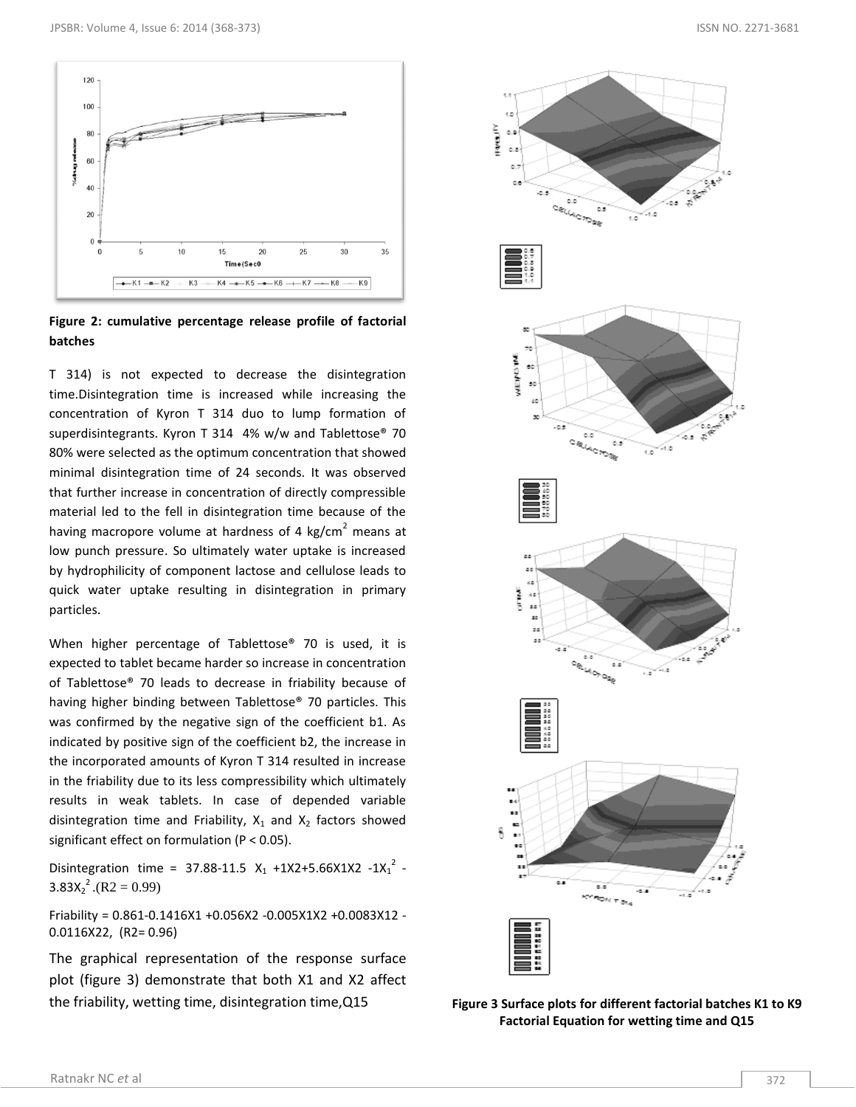

**Figure 2: cumulative percentage release profile of factorial batches**

T 314) is not expected to decrease the disintegration time.Disintegration time is increased while increasing the concentration of Kyron T 314 duo to lump formation of superdisintegrants. Kyron T 314 4% w/w and Tablettose® 70 80% were selected as the optimum concentration that showed minimal disintegration time of 24 seconds. It was observed that further increase in concentration of directly compressible material led to the fell in disintegration time because of the having macropore volume at hardness of 4 kg/cm<sup>2</sup> means at low punch pressure. So ultimately water uptake is increased by hydrophilicity of component lactose and cellulose leads to quick water uptake resulting in disintegration in primary particles.

When higher percentage of Tablettose® 70 is used, it is expected to tablet became harder so increase in concentration of Tablettose® 70 leads to decrease in friability because of having higher binding between Tablettose® 70 particles. This was confirmed by the negative sign of the coefficient b1. As indicated by positive sign of the coefficient b2, the increase in the incorporated amounts of Kyron T 314 resulted in increase in the friability due to its less compressibility which ultimately results in weak tablets. In case of depended variable disintegration time and Friability,  $X_1$  and  $X_2$  factors showed significant effect on formulation (P < 0.05).

Disintegration time = 37.88-11.5  $X_1$  +1X2+5.66X1X2 -1X<sub>1</sub><sup>2</sup> - $3.83X_2^2$ .(R2 = 0.99)

Friability = 0.861-0.1416X1 +0.056X2 -0.005X1X2 +0.0083X12 - 0.0116X22, (R2= 0.96)

The graphical representation of the response surface plot (figure 3) demonstrate that both X1 and X2 affect the friability, wetting time, disintegration time,Q15 **Figure 3 Surface plots for different factorial batches K1 to K9**



**Factorial Equation for wetting time and Q15**